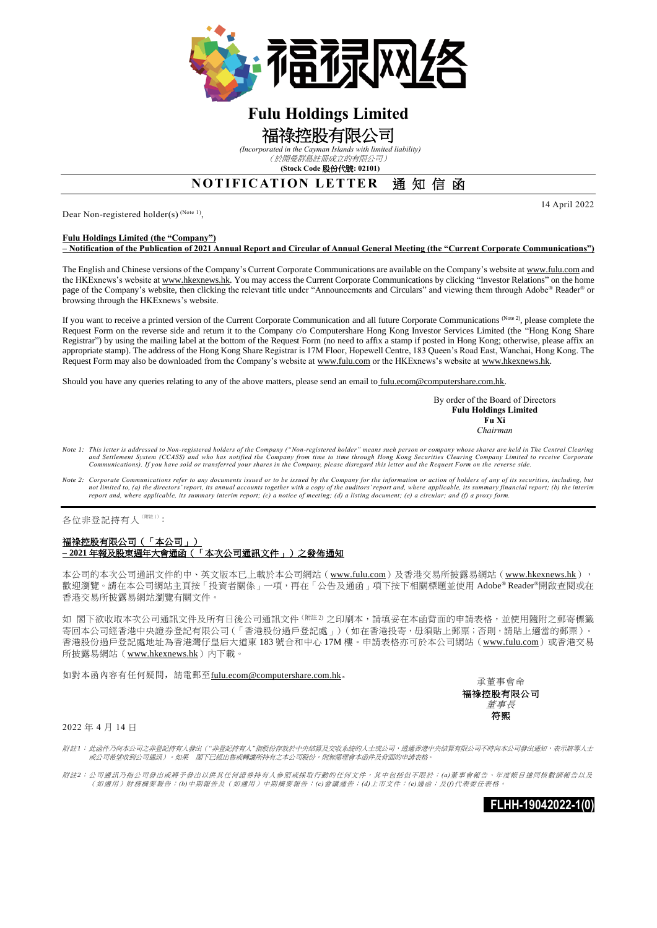

# **Fulu Holdings Limited**

## 福祿控股有限公司

*(Incorporated in the Cayman Islands with limited liability)*

(於開曼群島註冊成立的有限公司) **(Stock Code** 股份代號**: 02101)**

### **NOTIFICATION LETTER 通知信函**

Dear Non-registered holder(s)<sup>(Note 1)</sup>,

#### **Fulu Holdings Limited (the "Company")**

**– Notification of the Publication of 2021 Annual Report and Circular of Annual General Meeting (the "Current Corporate Communications")**

The English and Chinese versions of the Company's Current Corporate Communications are available on the Company's website at www.fulu.com and the HKExnews's website at www.hkexnews.hk. You may access the Current Corporate Communications by clicking "Investor Relations" on the home page of the Company's website, then clicking the relevant title under "Announcements and Circulars" and viewing them through Adobe® Reader® or browsing through the HKExnews's website.

If you want to receive a printed version of the Current Corporate Communication and all future Corporate Communications (Note 2), please complete the Request Form on the reverse side and return it to the Company c/o Computershare Hong Kong Investor Services Limited (the "Hong Kong Share Registrar") by using the mailing label at the bottom of the Request Form (no need to affix a stamp if posted in Hong Kong; otherwise, please affix an appropriate stamp). The address of the Hong Kong Share Registrar is 17M Floor, Hopewell Centre, 183 Queen's Road East, Wanchai, Hong Kong. The Request Form may also be downloaded from the Company's website at www.fulu.com or the HKExnews's website at www.hkexnews.hk.

Should you have any queries relating to any of the above matters, please send an email to fulu.ecom@computershare.com.hk.

By order of the Board of Directors **Fulu Holdings Limited Fu Xi** *Chairman*

- *Note 1: This letter is addressed to Non-registered holders of the Company ("Non-registered holder" means such person or company whose shares are held in The Central Clearing*  and Settlement System (CCASS) and who has notified the Company from time to time through Hong Kong Securities Clearing Company Limited to receive Corporate<br>Communications). If you have sold or transferred your shares in th
- *Note 2: Corporate Communications refer to any documents issued or to be issued by the Company for the information or action of holders of any of its securities, including, but*  not limited to, (a) the directors' report, its annual accounts together with a copy of the auditors' report and, where applicable, its summary financial report; (b) the interim<br>report and, where applicable, its summary int

各位非登記持有人(附註1):

### 福祿控股有限公司(「本公司」) **– 2021** 年報及股東週年大會通函(「本次公司通訊文件」)之發佈通知

本公司的本次公司通訊文件的中、英文版本已上載於本公司網站(www.fulu.com)及香港交易所披露易網站(www.hkexnews.hk), 歡迎瀏覽。請在本公司網站主頁按「投資者關係」一項,再在「公告及通函」項下按下相關標題並使用 Adobe® Reader®開啟查閱或在 香港交易所披露易網站瀏覽有關文件。

如 閣下欲收取本次公司通訊文件及所有日後公司通訊文件<sup>(附註2)</sup> 之印刷本,請填妥在本函背面的申請表格,並使用隨附之郵寄標籤 寄回本公司經香港中央證券登記有限公司(「香港股份過戶登記處」)(如在香港投寄,毋須貼上郵票;否則,請貼上適當的郵票) 香港股份過戶登記處地址為香港灣仔皇后大道東 183 號合和中心 17M 樓。申請表格亦可於本公司網站 (www.fulu.com)或香港交易 所披露易網站(www.hkexnews.hk)内下載。

如對本函內容有任何疑問,請電郵至fulu.ecom@computershare.com.hk。

承董事會命 福祿控股有限公司 董事長 符熙

2022 年 4 月 14 日

附註*1*: 此函件乃向本公司之非登記持有人發出(*"*非登記持有人*"*指股份存放於中央結算及交收系統的人士或公司,透過香港中央結算有限公司不時向本公司發出通知,表示該等人士 或公司希望收到公司通訊)。如果 閣下已經出售或轉讓所持有之本公司股份,則無需理會本函件及背面的申請表格。

附註*2*: 公司通訊乃指公司發出或將予發出以供其任何證券持有人參照或採取行動的任何文件,其中包括但不限於: *(a)*董事會報告、年度帳目連同核數師報告以及 (如適用)財務摘要報告;*(b)*中期報告及(如適用)中期摘要報告;*(c)*會議通告;*(d)*上市文件;*(e)*通函;及*(f)*代表委任表格。

**FLHH-19042022-1(0)**

14 April 2022